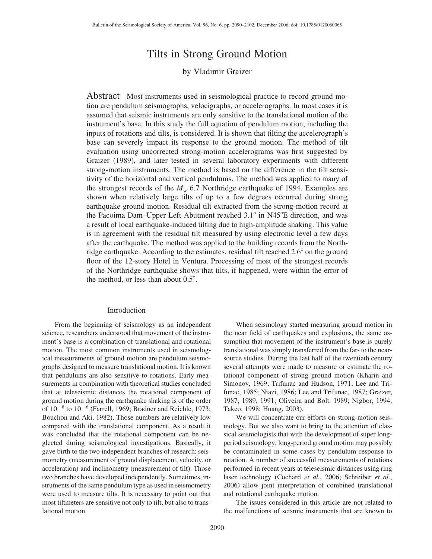# Tilts in Strong Ground Motion

# by Vladimir Graizer

Abstract Most instruments used in seismological practice to record ground motion are pendulum seismographs, velocigraphs, or accelerographs. In most cases it is assumed that seismic instruments are only sensitive to the translational motion of the instrument's base. In this study the full equation of pendulum motion, including the inputs of rotations and tilts, is considered. It is shown that tilting the accelerograph's base can severely impact its response to the ground motion. The method of tilt evaluation using uncorrected strong-motion accelerograms was first suggested by Graizer (1989), and later tested in several laboratory experiments with different strong-motion instruments. The method is based on the difference in the tilt sensitivity of the horizontal and vertical pendulums. The method was applied to many of the strongest records of the  $M_{\rm w}$  6.7 Northridge earthquake of 1994. Examples are shown when relatively large tilts of up to a few degrees occurred during strong earthquake ground motion. Residual tilt extracted from the strong-motion record at the Pacoima Dam–Upper Left Abutment reached  $3.1^\circ$  in N45 $^\circ$ E direction, and was a result of local earthquake-induced tilting due to high-amplitude shaking. This value is in agreement with the residual tilt measured by using electronic level a few days after the earthquake. The method was applied to the building records from the Northridge earthquake. According to the estimates, residual tilt reached 2.6° on the ground floor of the 12-story Hotel in Ventura. Processing of most of the strongest records of the Northridge earthquake shows that tilts, if happened, were within the error of the method, or less than about  $0.5^{\circ}$ .

## Introduction

From the beginning of seismology as an independent science, researchers understood that movement of the instrument's base is a combination of translational and rotational motion. The most common instruments used in seismological measurements of ground motion are pendulum seismographs designed to measure translational motion. It is known that pendulums are also sensitive to rotations. Early measurements in combination with theoretical studies concluded that at teleseismic distances the rotational component of ground motion during the earthquake shaking is of the order of  $10^{-8}$  to  $10^{-6}$  (Farrell, 1969; Bradner and Reichle, 1973; Bouchon and Aki, 1982). Those numbers are relatively low compared with the translational component. As a result it was concluded that the rotational component can be neglected during seismological investigations. Basically, it gave birth to the two independent branches of research: seismometry (measurement of ground displacement, velocity, or acceleration) and inclinometry (measurement of tilt). Those two branches have developed independently. Sometimes, instruments of the same pendulum type as used in seismometry were used to measure tilts. It is necessary to point out that most tiltmeters are sensitive not only to tilt, but also to translational motion.

When seismology started measuring ground motion in the near field of earthquakes and explosions, the same assumption that movement of the instrument's base is purely translational was simply transferred from the far- to the nearsource studies. During the last half of the twentieth century several attempts were made to measure or estimate the rotational component of strong ground motion (Kharin and Simonov, 1969; Trifunac and Hudson, 1971; Lee and Trifunac, 1985; Niazi, 1986; Lee and Trifunac, 1987; Graizer, 1987, 1989, 1991; Oliveira and Bolt, 1989; Nigbor, 1994; Takeo, 1998; Huang, 2003).

We will concentrate our efforts on strong-motion seismology. But we also want to bring to the attention of classical seismologists that with the development of super longperiod seismology, long-period ground motion may possibly be contaminated in some cases by pendulum response to rotation. A number of successful measurements of rotations performed in recent years at teleseismic distances using ring laser technology (Cochard *et al.*, 2006; Schreiber *et al.*, 2006) allow joint interpretation of combined translational and rotational earthquake motion.

The issues considered in this article are not related to the malfunctions of seismic instruments that are known to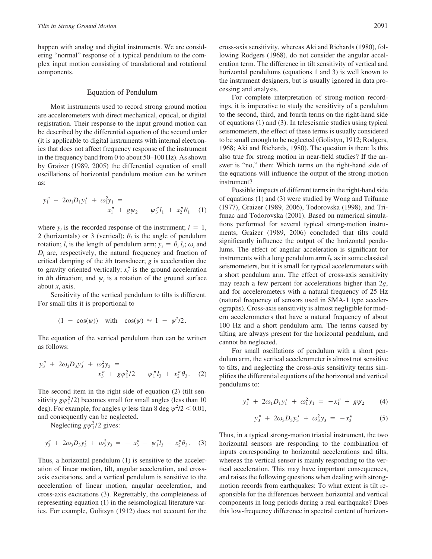happen with analog and digital instruments. We are considering "normal" response of a typical pendulum to the complex input motion consisting of translational and rotational components.

#### Equation of Pendulum

Most instruments used to record strong ground motion are accelerometers with direct mechanical, optical, or digital registration. Their response to the input ground motion can be described by the differential equation of the second order (it is applicable to digital instruments with internal electronics that does not affect frequency response of the instrument in the frequency band from 0 to about 50–100 Hz). As shown by Graizer (1989, 2005) the differential equation of small oscillations of horizontal pendulum motion can be written as:

$$
y_1'' + 2\omega_1 D_1 y_1' + \omega_1^2 y_1 =
$$
  
-x\_1'' + g\psi\_2 - \psi\_3'' l\_1 + x\_2'' \theta\_1 (1)

where  $y_i$  is the recorded response of the instrument;  $i = 1$ , 2 (horizontals) or 3 (vertical);  $\theta_i$  is the angle of pendulum rotation;  $l_i$  is the length of pendulum arm;  $y_i = \theta_i l_i$ ;  $\omega_i$  and  $D_i$  are, respectively, the natural frequency and fraction of critical damping of the *i*th transducer; *g* is acceleration due to gravity oriented vertically;  $x_i''$  is the ground acceleration in *i*th direction; and  $\psi_i$  is a rotation of the ground surface about *xi* axis.

Sensitivity of the vertical pendulum to tilts is different. For small tilts it is proportional to

$$
(1 - \cos(\psi))
$$
 with  $\cos(\psi) \approx 1 - \psi^2/2$ .

The equation of the vertical pendulum then can be written as follows:

$$
y_3'' + 2\omega_3 D_3 y_3' + \omega_3^2 y_3 = -x_3'' + g\psi_1^2/2 - \psi_1'' l_3 + x_2'' \theta_3.
$$
 (2)

The second item in the right side of equation (2) (tilt sensitivity  $g\psi_1^2/2$ ) becomes small for small angles (less than 10 deg). For example, for angles  $\psi$  less than 8 deg  $\psi^2/2 < 0.01$ , and consequently can be neglected.

Neglecting  $g\psi_1^2/2$  gives:

$$
y_3'' + 2\omega_3 D_3 y_3' + \omega_3^2 y_3 = -x_3'' - \psi_1'' l_3 - x_2'' \theta_3. \quad (3)
$$

Thus, a horizontal pendulum (1) is sensitive to the acceleration of linear motion, tilt, angular acceleration, and crossaxis excitations, and a vertical pendulum is sensitive to the acceleration of linear motion, angular acceleration, and cross-axis excitations (3). Regrettably, the completeness of representing equation (1) in the seismological literature varies. For example, Golitsyn (1912) does not account for the cross-axis sensitivity, whereas Aki and Richards (1980), following Rodgers (1968), do not consider the angular acceleration term. The difference in tilt sensitivity of vertical and horizontal pendulums (equations 1 and 3) is well known to the instrument designers, but is usually ignored in data processing and analysis.

For complete interpretation of strong-motion recordings, it is imperative to study the sensitivity of a pendulum to the second, third, and fourth terms on the right-hand side of equations (1) and (3). In teleseismic studies using typical seismometers, the effect of these terms is usually considered to be small enough to be neglected (Golistyn, 1912; Rodgers, 1968; Aki and Richards, 1980). The question is then: Is this also true for strong motion in near-field studies? If the answer is "no," then: Which terms on the right-hand side of the equations will influence the output of the strong-motion instrument?

Possible impacts of different terms in the right-hand side of equations (1) and (3) were studied by Wong and Trifunac (1977), Graizer (1989, 2006), Todorovska (1998), and Trifunac and Todorovska (2001). Based on numerical simulations performed for several typical strong-motion instruments, Graizer (1989, 2006) concluded that tilts could significantly influence the output of the horizontal pendulums. The effect of angular acceleration is significant for instruments with a long pendulum  $arm\,l_i$ , as in some classical seismometers, but it is small for typical accelerometers with a short pendulum arm. The effect of cross-axis sensitivity may reach a few percent for accelerations higher than 2*g*, and for accelerometers with a natural frequency of 25 Hz (natural frequency of sensors used in SMA-1 type accelerographs). Cross-axis sensitivity is almost negligible for modern accelerometers that have a natural frequency of about 100 Hz and a short pendulum arm. The terms caused by tilting are always present for the horizontal pendulum, and cannot be neglected.

For small oscillations of pendulum with a short pendulum arm, the vertical accelerometer is almost not sensitive to tilts, and neglecting the cross-axis sensitivity terms simplifies the differential equations of the horizontal and vertical pendulums to:

$$
y_1'' + 2\omega_1 D_1 y_1' + \omega_1^2 y_1 = -x_1'' + g\psi_2 \qquad (4)
$$

$$
y_3'' + 2\omega_3 D_3 y_3' + \omega_3^2 y_3 = -x_3'' \tag{5}
$$

Thus, in a typical strong-motion triaxial instrument, the two horizontal sensors are responding to the combination of inputs corresponding to horizontal accelerations and tilts, whereas the vertical sensor is mainly responding to the vertical acceleration. This may have important consequences, and raises the following questions when dealing with strongmotion records from earthquakes: To what extent is tilt responsible for the differences between horizontal and vertical components in long periods during a real earthquake? Does this low-frequency difference in spectral content of horizon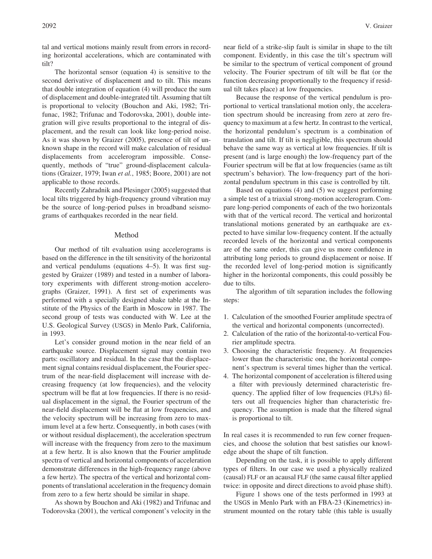tal and vertical motions mainly result from errors in recording horizontal accelerations, which are contaminated with tilt?

The horizontal sensor (equation 4) is sensitive to the second derivative of displacement and to tilt. This means that double integration of equation (4) will produce the sum of displacement and double-integrated tilt. Assuming that tilt is proportional to velocity (Bouchon and Aki, 1982; Trifunac, 1982; Trifunac and Todorovska, 2001), double integration will give results proportional to the integral of displacement, and the result can look like long-period noise. As it was shown by Graizer (2005), presence of tilt of unknown shape in the record will make calculation of residual displacements from accelerogram impossible. Consequently, methods of "true" ground-displacement calculations (Graizer, 1979; Iwan *et al.*, 1985; Boore, 2001) are not applicable to those records.

Recently Zahradnik and Plesinger (2005) suggested that local tilts triggered by high-frequency ground vibration may be the source of long-period pulses in broadband seismograms of earthquakes recorded in the near field.

#### Method

Our method of tilt evaluation using accelerograms is based on the difference in the tilt sensitivity of the horizontal and vertical pendulums (equations 4–5). It was first suggested by Graizer (1989) and tested in a number of laboratory experiments with different strong-motion accelerographs (Graizer, 1991). A first set of experiments was performed with a specially designed shake table at the Institute of the Physics of the Earth in Moscow in 1987. The second group of tests was conducted with W. Lee at the U.S. Geological Survey (USGS) in Menlo Park, California, in 1993.

Let's consider ground motion in the near field of an earthquake source. Displacement signal may contain two parts: oscillatory and residual. In the case that the displacement signal contains residual displacement, the Fourier spectrum of the near-field displacement will increase with decreasing frequency (at low frequencies), and the velocity spectrum will be flat at low frequencies. If there is no residual displacement in the signal, the Fourier spectrum of the near-field displacement will be flat at low frequencies, and the velocity spectrum will be increasing from zero to maximum level at a few hertz. Consequently, in both cases (with or without residual displacement), the acceleration spectrum will increase with the frequency from zero to the maximum at a few hertz. It is also known that the Fourier amplitude spectra of vertical and horizontal components of acceleration demonstrate differences in the high-frequency range (above a few hertz). The spectra of the vertical and horizontal components of translational acceleration in the frequency domain from zero to a few hertz should be similar in shape.

As shown by Bouchon and Aki (1982) and Trifunac and Todorovska (2001), the vertical component's velocity in the

Because the response of the vertical pendulum is proportional to vertical translational motion only, the acceleration spectrum should be increasing from zero at zero frequency to maximum at a few hertz. In contrast to the vertical, the horizontal pendulum's spectrum is a combination of translation and tilt. If tilt is negligible, this spectrum should behave the same way as vertical at low frequencies. If tilt is present (and is large enough) the low-frequency part of the Fourier spectrum will be flat at low frequencies (same as tilt spectrum's behavior). The low-frequency part of the horizontal pendulum spectrum in this case is controlled by tilt.

Based on equations (4) and (5) we suggest performing a simple test of a triaxial strong-motion accelerogram. Compare long-period components of each of the two horizontals with that of the vertical record. The vertical and horizontal translational motions generated by an earthquake are expected to have similar low-frequency content. If the actually recorded levels of the horizontal and vertical components are of the same order, this can give us more confidence in attributing long periods to ground displacement or noise. If the recorded level of long-period motion is significantly higher in the horizontal components, this could possibly be due to tilts.

The algorithm of tilt separation includes the following steps:

- 1. Calculation of the smoothed Fourier amplitude spectra of the vertical and horizontal components (uncorrected).
- 2. Calculation of the ratio of the horizontal-to-vertical Fourier amplitude spectra.
- 3. Choosing the characteristic frequency. At frequencies lower than the characteristic one, the horizontal component's spectrum is several times higher than the vertical.
- 4. The horizontal component of acceleration is filtered using a filter with previously determined characteristic frequency. The applied filter of low frequencies (FLFs) filters out all frequencies higher than characteristic frequency. The assumption is made that the filtered signal is proportional to tilt.

In real cases it is recommended to run few corner frequencies, and choose the solution that best satisfies our knowledge about the shape of tilt function.

Depending on the task, it is possible to apply different types of filters. In our case we used a physically realized (causal) FLF or an acausal FLF (the same causal filter applied twice: in opposite and direct directions to avoid phase shift).

Figure 1 shows one of the tests performed in 1993 at the USGS in Menlo Park with an FBA-23 (Kinemetrics) instrument mounted on the rotary table (this table is usually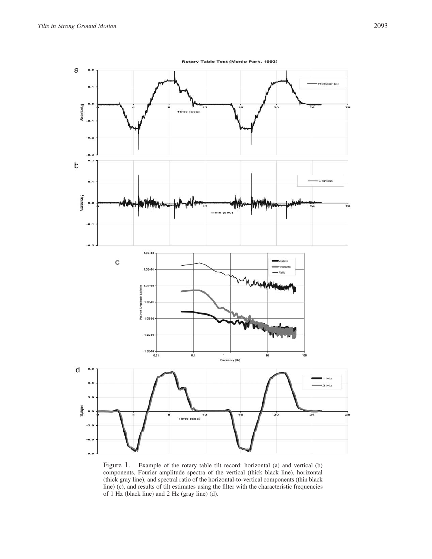

Figure 1. Example of the rotary table tilt record: horizontal (a) and vertical (b) components, Fourier amplitude spectra of the vertical (thick black line), horizontal (thick gray line), and spectral ratio of the horizontal-to-vertical components (thin black line) (c), and results of tilt estimates using the filter with the characteristic frequencies of 1 Hz (black line) and 2 Hz (gray line) (d).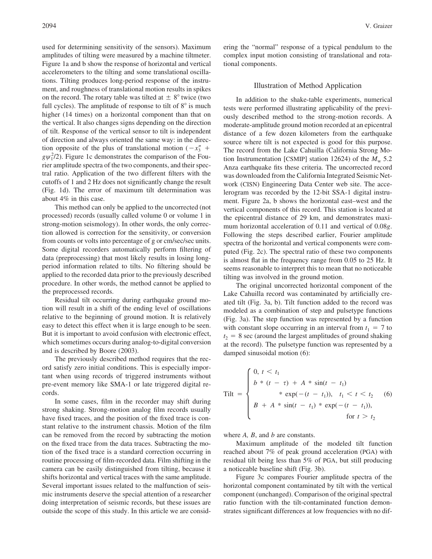used for determining sensitivity of the sensors). Maximum amplitudes of tilting were measured by a machine tiltmeter. Figure 1a and b show the response of horizontal and vertical accelerometers to the tilting and some translational oscillations. Tilting produces long-period response of the instrument, and roughness of translational motion results in spikes on the record. The rotary table was tilted at  $\pm 8^{\circ}$  twice (two full cycles). The amplitude of response to tilt of  $8^\circ$  is much higher (14 times) on a horizontal component than that on the vertical. It also changes signs depending on the direction of tilt. Response of the vertical sensor to tilt is independent of direction and always oriented the same way: in the direction opposite of the plus of translational motion  $(-x_3'' +$  $g\psi_1^2/2$ ). Figure 1c demonstrates the comparison of the Fourier amplitude spectra of the two components, and their spectral ratio. Application of the two different filters with the cutoffs of 1 and 2 Hz does not significantly change the result (Fig. 1d). The error of maximum tilt determination was about 4% in this case.

This method can only be applied to the uncorrected (not processed) records (usually called volume 0 or volume 1 in strong-motion seismology). In other words, the only correction allowed is correction for the sensitivity, or conversion from counts or volts into percentage of g or cm/sec/sec units. Some digital recorders automatically perform filtering of data (preprocessing) that most likely results in losing longperiod information related to tilts. No filtering should be applied to the recorded data prior to the previously described procedure. In other words, the method cannot be applied to the preprocessed records.

Residual tilt occurring during earthquake ground motion will result in a shift of the ending level of oscillations relative to the beginning of ground motion. It is relatively easy to detect this effect when it is large enough to be seen. But it is important to avoid confusion with electronic effect, which sometimes occurs during analog-to-digital conversion and is described by Boore (2003).

The previously described method requires that the record satisfy zero initial conditions. This is especially important when using records of triggered instruments without pre-event memory like SMA-1 or late triggered digital records.

In some cases, film in the recorder may shift during strong shaking. Strong-motion analog film records usually have fixed traces, and the position of the fixed trace is constant relative to the instrument chassis. Motion of the film can be removed from the record by subtracting the motion on the fixed trace from the data traces. Subtracting the motion of the fixed trace is a standard correction occurring in routine processing of film-recorded data. Film shifting in the camera can be easily distinguished from tilting, because it shifts horizontal and vertical traces with the same amplitude. Several important issues related to the malfunction of seismic instruments deserve the special attention of a researcher doing interpretation of seismic records, but these issues are outside the scope of this study. In this article we are considering the "normal" response of a typical pendulum to the complex input motion consisting of translational and rotational components.

# Illustration of Method Application

In addition to the shake-table experiments, numerical tests were performed illustrating applicability of the previously described method to the strong-motion records. A moderate-amplitude ground motion recorded at an epicentral distance of a few dozen kilometers from the earthquake source where tilt is not expected is good for this purpose. The record from the Lake Cahuilla (California Strong Motion Instrumentation [CSMIP] station 12624) of the  $M_w$  5.2 Anza earthquake fits these criteria. The uncorrected record was downloaded from the California Integrated Seismic Network (CISN) Engineering Data Center web site. The accelerogram was recorded by the 12-bit SSA-1 digital instrument. Figure 2a, b shows the horizontal east–west and the vertical components of this record. This station is located at the epicentral distance of 29 km, and demonstrates maximum horizontal acceleration of 0.11 and vertical of 0.08*g*. Following the steps described earlier, Fourier amplitude spectra of the horizontal and vertical components were computed (Fig. 2c). The spectral ratio of these two components is almost flat in the frequency range from 0.05 to 25 Hz. It seems reasonable to interpret this to mean that no noticeable tilting was involved in the ground motion.

The original uncorrected horizontal component of the Lake Cahuilla record was contaminated by artificially created tilt (Fig. 3a, b). Tilt function added to the record was modeled as a combination of step and pulsetype functions (Fig. 3a). The step function was represented by a function with constant slope occurring in an interval from  $t_1 = 7$  to  $t_2$  = 8 sec (around the largest amplitudes of ground shaking at the record). The pulsetype function was represented by a damped sinusoidal motion (6):

$$
\text{Tilt} = \begin{cases} \n0, \, t < t_1 \\ \nb * (t - \tau) + A * \sin(t - t_1) \\ \n& * \exp(-(t - t_1)), \quad t_1 < t < t_2 \\ \nB + A * \sin(t - t_1) * \exp(-(t - t_1)), \\ \n& \text{for } t > t_2 \n\end{cases} \tag{6}
$$

where *A, B*, and *b* are constants.

Maximum amplitude of the modeled tilt function reached about 7% of peak ground acceleration (PGA) with residual tilt being less than 5% of PGA, but still producing a noticeable baseline shift (Fig. 3b).

Figure 3c compares Fourier amplitude spectra of the horizontal component contaminated by tilt with the vertical component (unchanged). Comparison of the original spectral ratio function with the tilt-contaminated function demonstrates significant differences at low frequencies with no dif-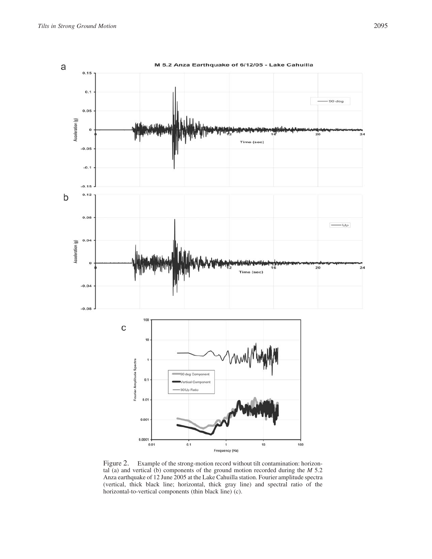

Figure 2. Example of the strong-motion record without tilt contamination: horizontal (a) and vertical (b) components of the ground motion recorded during the *M* 5.2 Anza earthquake of 12 June 2005 at the Lake Cahuilla station. Fourier amplitude spectra (vertical, thick black line; horizontal, thick gray line) and spectral ratio of the horizontal-to-vertical components (thin black line) (c).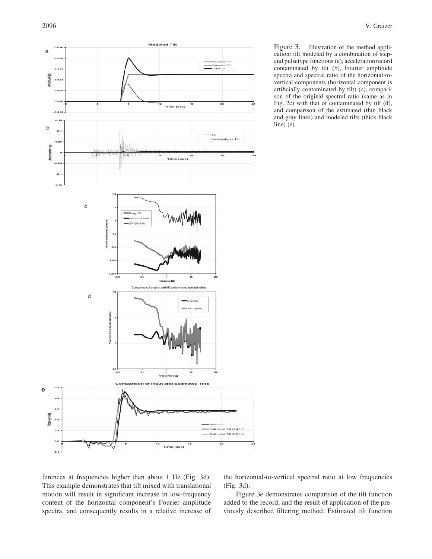

Figure 3. Illustration of the method application: tilt modeled by a combination of stepand pulsetype functions (a), acceleration record contaminated by tilt (b), Fourier amplitude spectra and spectral ratio of the horizontal-tovertical components (horizontal component is artificially contaminated by tilt) (c), comparison of the original spectral ratio (same as in Fig. 2c) with that of contaminated by tilt (d), and comparison of the estimated (thin black and gray lines) and modeled tilts (thick black line) (e).

ferences at frequencies higher than about 1 Hz (Fig. 3d). This example demonstrates that tilt mixed with translational motion will result in significant increase in low-frequency content of the horizontal component's Fourier amplitude spectra, and consequently results in a relative increase of the horizontal-to-vertical spectral ratio at low frequencies (Fig. 3d).

Figure 3e demonstrates comparison of the tilt function added to the record, and the result of application of the previously described filtering method. Estimated tilt function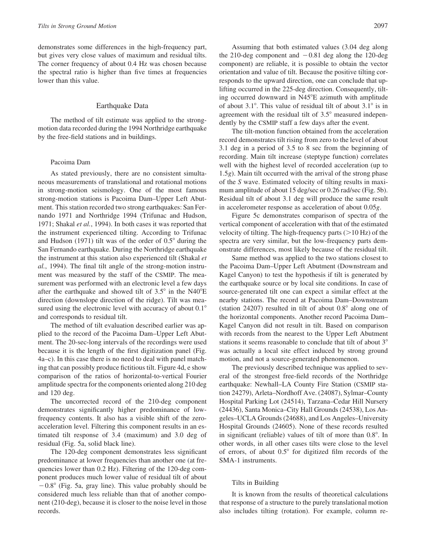demonstrates some differences in the high-frequency part, but gives very close values of maximum and residual tilts. The corner frequency of about 0.4 Hz was chosen because the spectral ratio is higher than five times at frequencies lower than this value.

# Earthquake Data

The method of tilt estimate was applied to the strongmotion data recorded during the 1994 Northridge earthquake by the free-field stations and in buildings.

## Pacoima Dam

As stated previously, there are no consistent simultaneous measurements of translational and rotational motions in strong-motion seismology. One of the most famous strong-motion stations is Pacoima Dam–Upper Left Abutment. This station recorded two strong earthquakes: San Fernando 1971 and Northridge 1994 (Trifunac and Hudson, 1971; Shakal *et al.*, 1994). In both cases it was reported that the instrument experienced tilting. According to Trifunac and Hudson (1971) tilt was of the order of  $0.5^{\circ}$  during the San Fernando earthquake. During the Northridge earthquake the instrument at this station also experienced tilt (Shakal *et al.*, 1994). The final tilt angle of the strong-motion instrument was measured by the staff of the CSMIP. The measurement was performed with an electronic level a few days after the earthquake and showed tilt of  $3.5^{\circ}$  in the N40 $^{\circ}$ E direction (downslope direction of the ridge). Tilt was measured using the electronic level with accuracy of about  $0.1^{\circ}$ and corresponds to residual tilt.

The method of tilt evaluation described earlier was applied to the record of the Pacoima Dam–Upper Left Abutment. The 20-sec-long intervals of the recordings were used because it is the length of the first digitization panel (Fig. 4a–c). In this case there is no need to deal with panel matching that can possibly produce fictitious tilt. Figure 4d, e show comparison of the ratios of horizontal-to-vertical Fourier amplitude spectra for the components oriented along 210 deg and 120 deg.

The uncorrected record of the 210-deg component demonstrates significantly higher predominance of lowfrequency contents. It also has a visible shift of the zeroacceleration level. Filtering this component results in an estimated tilt response of 3.4 (maximum) and 3.0 deg of residual (Fig. 5a, solid black line).

The 120-deg component demonstrates less significant predominance at lower frequencies than another one (at frequencies lower than 0.2 Hz). Filtering of the 120-deg component produces much lower value of residual tilt of about  $-0.8^{\circ}$  (Fig. 5a, gray line). This value probably should be considered much less reliable than that of another component (210-deg), because it is closer to the noise level in those records.

Assuming that both estimated values (3.04 deg along the 210-deg component and  $-0.81$  deg along the 120-deg component) are reliable, it is possible to obtain the vector orientation and value of tilt. Because the positive tilting corresponds to the upward direction, one can conclude that uplifting occurred in the 225-deg direction. Consequently, tilting occurred downward in  $N45^{\circ}E$  azimuth with amplitude of about  $3.1^{\circ}$ . This value of residual tilt of about  $3.1^{\circ}$  is in agreement with the residual tilt of  $3.5^\circ$  measured independently by the CSMIP staff a few days after the event.

The tilt-motion function obtained from the acceleration record demonstrates tilt rising from zero to the level of about 3.1 deg in a period of 3.5 to 8 sec from the beginning of recording. Main tilt increase (steptype function) correlates well with the highest level of recorded acceleration (up to 1.5*g*). Main tilt occurred with the arrival of the strong phase of the *S* wave. Estimated velocity of tilting results in maximum amplitude of about 15 deg/sec or 0.26 rad/sec (Fig. 5b). Residual tilt of about 3.1 deg will produce the same result in accelerometer response as acceleration of about 0.05*g*.

Figure 5c demonstrates comparison of spectra of the vertical component of acceleration with that of the estimated velocity of tilting. The high-frequency parts  $(>10$  Hz) of the spectra are very similar, but the low-frequency parts demonstrate differences, most likely because of the residual tilt.

Same method was applied to the two stations closest to the Pacoima Dam–Upper Left Abutment (Downstream and Kagel Canyon) to test the hypothesis if tilt is generated by the earthquake source or by local site conditions. In case of source-generated tilt one can expect a similar effect at the nearby stations. The record at Pacoima Dam–Downstream (station 24207) resulted in tilt of about  $0.8^\circ$  along one of the horizontal components. Another record Pacoima Dam– Kagel Canyon did not result in tilt. Based on comparison with records from the nearest to the Upper Left Abutment stations it seems reasonable to conclude that tilt of about 3<sup>°</sup> was actually a local site effect induced by strong ground motion, and not a source-generated phenomenon.

The previously described technique was applied to several of the strongest free-field records of the Northridge earthquake: Newhall–LA County Fire Station (CSMIP station 24279), Arleta–Nordhoff Ave. (24087), Sylmar–County Hospital Parking Lot (24514), Tarzana–Cedar Hill Nursery (24436), Santa Monica–City Hall Grounds (24538), Los Angeles–UCLA Grounds (24688), and Los Angeles–University Hospital Grounds (24605). None of these records resulted in significant (reliable) values of tilt of more than  $0.8^\circ$ . In other words, in all other cases tilts were close to the level of errors, of about  $0.5^{\circ}$  for digitized film records of the SMA-1 instruments.

#### Tilts in Building

It is known from the results of theoretical calculations that response of a structure to the purely translational motion also includes tilting (rotation). For example, column re-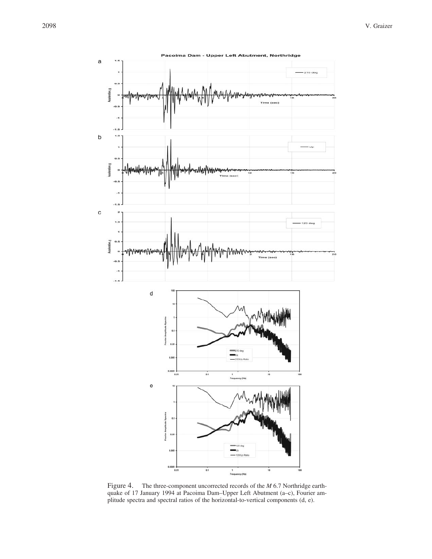

Figure 4. The three-component uncorrected records of the *M* 6.7 Northridge earthquake of 17 January 1994 at Pacoima Dam–Upper Left Abutment (a–c), Fourier amplitude spectra and spectral ratios of the horizontal-to-vertical components (d, e).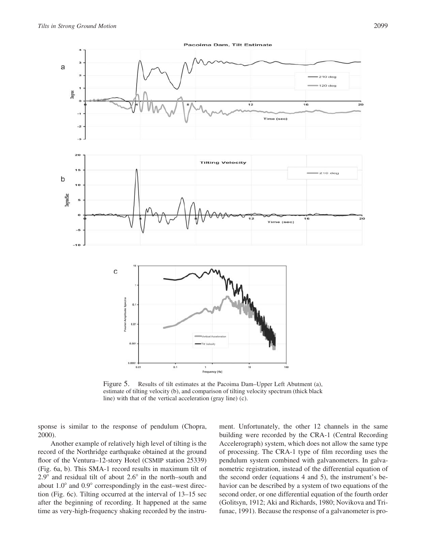

Figure 5. Results of tilt estimates at the Pacoima Dam–Upper Left Abutment (a), estimate of tilting velocity (b), and comparison of tilting velocity spectrum (thick black line) with that of the vertical acceleration (gray line) (c).

sponse is similar to the response of pendulum (Chopra, 2000).

Another example of relatively high level of tilting is the record of the Northridge earthquake obtained at the ground floor of the Ventura–12-story Hotel (CSMIP station 25339) (Fig. 6a, b). This SMA-1 record results in maximum tilt of  $2.9^{\circ}$  and residual tilt of about  $2.6^{\circ}$  in the north–south and about  $1.0^{\circ}$  and  $0.9^{\circ}$  correspondingly in the east–west direction (Fig. 6c). Tilting occurred at the interval of 13–15 sec after the beginning of recording. It happened at the same time as very-high-frequency shaking recorded by the instrument. Unfortunately, the other 12 channels in the same building were recorded by the CRA-1 (Central Recording Accelerograph) system, which does not allow the same type of processing. The CRA-1 type of film recording uses the pendulum system combined with galvanometers. In galvanometric registration, instead of the differential equation of the second order (equations 4 and 5), the instrument's behavior can be described by a system of two equations of the second order, or one differential equation of the fourth order (Golitsyn, 1912; Aki and Richards, 1980; Novikova and Trifunac, 1991). Because the response of a galvanometer is pro-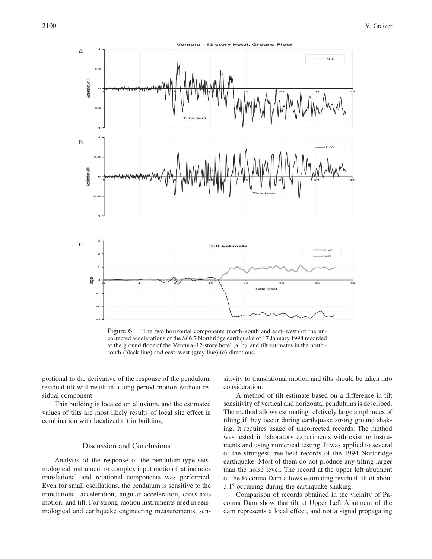

Figure 6. The two horizontal components (north–south and east–west) of the uncorrected accelerations of the *M* 6.7 Northridge earthquake of 17 January 1994 recorded at the ground floor of the Ventura–12-story hotel (a, b), and tilt estimates in the north– south (black line) and east–west (gray line) (c) directions.

portional to the derivative of the response of the pendulum, residual tilt will result in a long-period motion without residual component.

This building is located on alluvium, and the estimated values of tilts are most likely results of local site effect in combination with localized tilt in building.

# Discussion and Conclusions

Analysis of the response of the pendulum-type seismological instrument to complex input motion that includes translational and rotational components was performed. Even for small oscillations, the pendulum is sensitive to the translational acceleration, angular acceleration, cross-axis motion, and tilt. For strong-motion instruments used in seismological and earthquake engineering measurements, sensitivity to translational motion and tilts should be taken into consideration.

A method of tilt estimate based on a difference in tilt sensitivity of vertical and horizontal pendulums is described. The method allows estimating relatively large amplitudes of tilting if they occur during earthquake strong ground shaking. It requires usage of uncorrected records. The method was tested in laboratory experiments with existing instruments and using numerical testing. It was applied to several of the strongest free-field records of the 1994 Northridge earthquake. Most of them do not produce any tilting larger than the noise level. The record at the upper left abutment of the Pacoima Dam allows estimating residual tilt of about  $3.1^{\circ}$  occurring during the earthquake shaking.

Comparison of records obtained in the vicinity of Pacoima Dam show that tilt at Upper Left Abutment of the dam represents a local effect, and not a signal propagating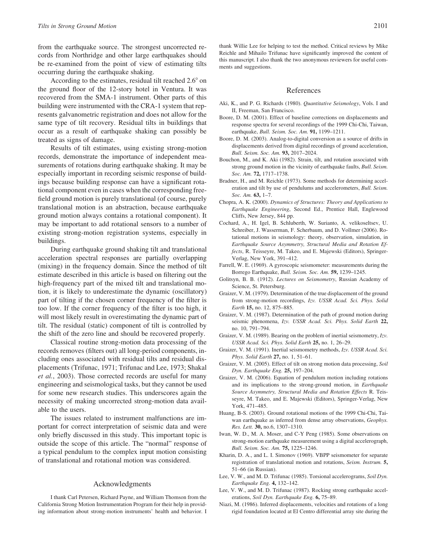from the earthquake source. The strongest uncorrected records from Northridge and other large earthquakes should be re-examined from the point of view of estimating tilts occurring during the earthquake shaking.

According to the estimates, residual tilt reached 2.6° on the ground floor of the 12-story hotel in Ventura. It was recovered from the SMA-1 instrument. Other parts of this building were instrumented with the CRA-1 system that represents galvanometric registration and does not allow for the same type of tilt recovery. Residual tilts in buildings that occur as a result of earthquake shaking can possibly be treated as signs of damage.

Results of tilt estimates, using existing strong-motion records, demonstrate the importance of independent measurements of rotations during earthquake shaking. It may be especially important in recording seismic response of buildings because building response can have a significant rotational component even in cases when the corresponding freefield ground motion is purely translational (of course, purely translational motion is an abstraction, because earthquake ground motion always contains a rotational component). It may be important to add rotational sensors to a number of existing strong-motion registration systems, especially in buildings.

During earthquake ground shaking tilt and translational acceleration spectral responses are partially overlapping (mixing) in the frequency domain. Since the method of tilt estimate described in this article is based on filtering out the high-frequency part of the mixed tilt and translational motion, it is likely to underestimate the dynamic (oscillatory) part of tilting if the chosen corner frequency of the filter is too low. If the corner frequency of the filter is too high, it will most likely result in overestimating the dynamic part of tilt. The residual (static) component of tilt is controlled by the shift of the zero line and should be recovered properly.

Classical routine strong-motion data processing of the records removes (filters out) all long-period components, including ones associated with residual tilts and residual displacements (Trifunac, 1971; Trifunac and Lee, 1973; Shakal *et al.*, 2003). Those corrected records are useful for many engineering and seismological tasks, but they cannot be used for some new research studies. This underscores again the necessity of making uncorrected strong-motion data available to the users.

The issues related to instrument malfunctions are important for correct interpretation of seismic data and were only briefly discussed in this study. This important topic is outside the scope of this article. The "normal" response of a typical pendulum to the complex input motion consisting of translational and rotational motion was considered.

#### Acknowledgments

I thank Carl Petersen, Richard Payne, and William Thomson from the California Strong Motion Instrumentation Program for their help in providing information about strong-motion instruments' health and behavior. I

thank Willie Lee for helping to test the method. Critical reviews by Mike Reichle and Mihailo Trifunac have significantly improved the content of this manuscript. I also thank the two anonymous reviewers for useful comments and suggestions.

#### References

- Aki, K., and P. G. Richards (1980). *Quantitative Seismology*, Vols. I and II, Freeman, San Francisco.
- Boore, D. M. (2001). Effect of baseline corrections on displacements and response spectra for several recordings of the 1999 Chi-Chi, Taiwan, earthquake, *Bull. Seism. Soc. Am.* **91,** 1199–1211.
- Boore, D. M. (2003). Analog-to-digital conversion as a source of drifts in displacements derived from digital recordings of ground acceleration, *Bull. Seism. Soc. Am.* **93,** 2017–2024.
- Bouchon, M., and K. Aki (1982). Strain, tilt, and rotation associated with strong ground motion in the vicinity of earthquake faults, *Bull. Seism. Soc. Am.* **72,** 1717–1738.
- Bradner, H., and M. Reichle (1973). Some methods for determining acceleration and tilt by use of pendulums and accelerometers, *Bull. Seism. Soc. Am.* **63,** 1–7.
- Chopra, A. K. (2000). *Dynamics of Structures: Theory and Applications to Earthquake Engineering*, Second Ed., Prentice Hall, Englewood Cliffs, New Jersey, 844 pp.
- Cochard, A., H. Igel, B. Schluberth, W. Surianto, A. velikoseltsev, U. Schreiber, J. Wasserman, F. Scherbaum, and D. Vollmer (2006). Rotational motions in seismology: theory, observation, simulation, in *Earthquake Source Asymmetry, Structural Media and Rotation Effects*, R. Teisseyre, M. Takeo, and E. Majewski (Editors), Springer-Verlag, New York, 391–412.
- Farrell, W. E. (1969). A gyroscopic seismometer: measurements during the Borrego Earthquake, *Bull. Seism. Soc. Am.* **59,** 1239–1245.
- Golitsyn, B. B. (1912). *Lectures on Seismometry*, Russian Academy of Science, St. Petersburg.
- Graizer, V. M. (1979). Determination of the true displacement of the ground from strong-motion recordings, *Izv. USSR Acad. Sci. Phys. Solid Earth* **15,** no. 12, 875–885.
- Graizer, V. M. (1987). Determination of the path of ground motion during seismic phenomena, *Izv. USSR Acad. Sci. Phys. Solid Earth* **22,** no. 10, 791–794.
- Graizer, V. M. (1989). Bearing on the problem of inertial seismometry, *Izv. USSR Acad. Sci. Phys. Solid Earth* **25,** no. 1, 26–29.
- Graizer, V. M. (1991). Inertial seismometry methods, *Izv. USSR Acad. Sci. Phys. Solid Earth* **27,** no. 1, 51–61.
- Graizer, V. M. (2005). Effect of tilt on strong motion data processing, *Soil Dyn. Earthquake Eng.* **25,** 197–204.
- Graizer, V. M. (2006). Equation of pendulum motion including rotations and its implications to the strong-ground motion, in *Earthquake Source Asymmetry, Structural Media and Rotation Effects* R. Teisseyre, M. Takeo, and E. Majewski (Editors), Springer-Verlag, New York, 471–485.
- Huang, B-S. (2003). Ground rotational motions of the 1999 Chi-Chi, Taiwan earthquake as inferred from dense array observations, *Geophys. Res. Lett.* **30,** no.6, 1307–1310.
- Iwan, W. D., M. A. Moser, and C-Y Peng (1985). Some observations on strong-motion earthquake measurement using a digital accelerograph, *Bull. Seism. Soc. Am.* **75,** 1225–1246.
- Kharin, D. A., and L. I. Simonov (1969). VBPP seismometer for separate registration of translational motion and rotations, *Seism. Instrum.* **5,** 51–66 (in Russian).
- Lee, V. W., and M. D. Trifunac (1985). Torsional accelerograms, *Soil Dyn. Earthquake Eng.* **4,** 132–142.
- Lee, V. W., and M. D. Trifunac (1987). Rocking strong earthquake accelerations, *Soil Dyn. Earthquake Eng.* **6,** 75–89.
- Niazi, M. (1986). Inferred displacements, velocities and rotations of a long rigid foundation located at El Centro differential array site during the